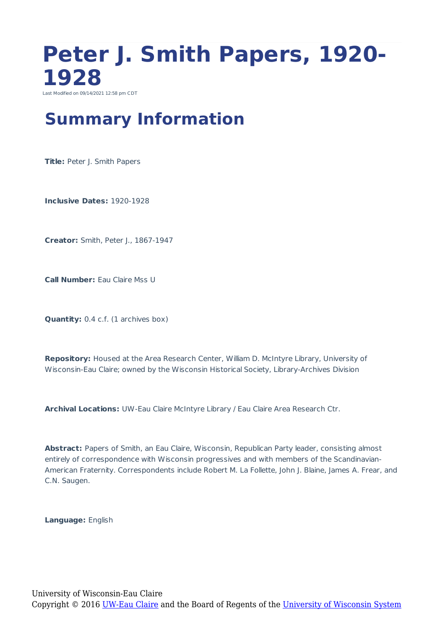### **Peter J. Smith Papers, 1920- 1928** Last Modified on 09/14/2021 12:58 pm CDT

### **Summary Information**

**Title: Peter J. Smith Papers** 

**Inclusive Dates:** 1920-1928

**Creator:** Smith, Peter J., 1867-1947

**Call Number:** Eau Claire Mss U

**Quantity:** 0.4 c.f. (1 archives box)

**Repository:** Housed at the Area Research Center, William D. McIntyre Library, University of Wisconsin-Eau Claire; owned by the Wisconsin Historical Society, Library-Archives Division

**Archival Locations:** UW-Eau Claire McIntyre Library / Eau Claire Area Research Ctr.

**Abstract:** Papers of Smith, an Eau Claire, Wisconsin, Republican Party leader, consisting almost entirely of correspondence with Wisconsin progressives and with members of the Scandinavian-American Fraternity. Correspondents include Robert M. La Follette, John J. Blaine, James A. Frear, and C.N. Saugen.

**Language:** English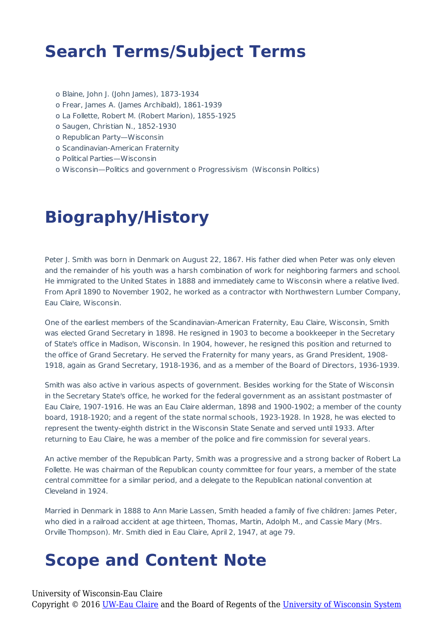## **Search Terms/Subject Terms**

- o Blaine, John J. (John James), 1873-1934
- o Frear, James A. (James Archibald), 1861-1939
- o La Follette, Robert M. (Robert Marion), 1855-1925
- o Saugen, Christian N., 1852-1930
- o Republican Party—Wisconsin
- o Scandinavian-American Fraternity
- o Political Parties—Wisconsin
- o Wisconsin—Politics and government o Progressivism (Wisconsin Politics)

## **Biography/History**

Peter J. Smith was born in Denmark on August 22, 1867. His father died when Peter was only eleven and the remainder of his youth was a harsh combination of work for neighboring farmers and school. He immigrated to the United States in 1888 and immediately came to Wisconsin where a relative lived. From April 1890 to November 1902, he worked as a contractor with Northwestern Lumber Company, Eau Claire, Wisconsin.

One of the earliest members of the Scandinavian-American Fraternity, Eau Claire, Wisconsin, Smith was elected Grand Secretary in 1898. He resigned in 1903 to become a bookkeeper in the Secretary of State's office in Madison, Wisconsin. In 1904, however, he resigned this position and returned to the office of Grand Secretary. He served the Fraternity for many years, as Grand President, 1908- 1918, again as Grand Secretary, 1918-1936, and as a member of the Board of Directors, 1936-1939.

Smith was also active in various aspects of government. Besides working for the State of Wisconsin in the Secretary State's office, he worked for the federal government as an assistant postmaster of Eau Claire, 1907-1916. He was an Eau Claire alderman, 1898 and 1900-1902; a member of the county board, 1918-1920; and a regent of the state normal schools, 1923-1928. In 1928, he was elected to represent the twenty-eighth district in the Wisconsin State Senate and served until 1933. After returning to Eau Claire, he was a member of the police and fire commission for several years.

An active member of the Republican Party, Smith was a progressive and a strong backer of Robert La Follette. He was chairman of the Republican county committee for four years, a member of the state central committee for a similar period, and a delegate to the Republican national convention at Cleveland in 1924.

Married in Denmark in 1888 to Ann Marie Lassen, Smith headed a family of five children: James Peter, who died in a railroad accident at age thirteen, Thomas, Martin, Adolph M., and Cassie Mary (Mrs. Orville Thompson). Mr. Smith died in Eau Claire, April 2, 1947, at age 79.

#### **Scope and Content Note**

University of Wisconsin-Eau Claire

Copyright © 2016 [UW-Eau Claire](http://www.uwec.edu) and the Board of Regents of the [University of Wisconsin System](http://www.uwsa.edu/)